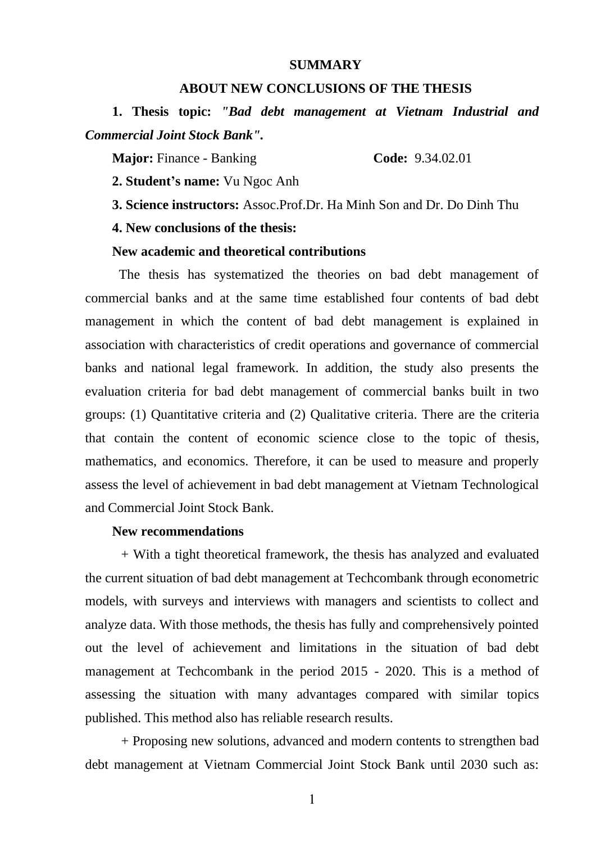#### **SUMMARY**

## **ABOUT NEW CONCLUSIONS OF THE THESIS**

**1. Thesis topic:** *"Bad debt management at Vietnam Industrial and Commercial Joint Stock Bank".*

**Major:** Finance - Banking **Code:** 9.34.02.01

**2. Student's name:** Vu Ngoc Anh

**3. Science instructors:** Assoc.Prof.Dr. Ha Minh Son and Dr. Do Dinh Thu

**4. New conclusions of the thesis:**

### **New academic and theoretical contributions**

The thesis has systematized the theories on bad debt management of commercial banks and at the same time established four contents of bad debt management in which the content of bad debt management is explained in association with characteristics of credit operations and governance of commercial banks and national legal framework. In addition, the study also presents the evaluation criteria for bad debt management of commercial banks built in two groups: (1) Quantitative criteria and (2) Qualitative criteria. There are the criteria that contain the content of economic science close to the topic of thesis, mathematics, and economics. Therefore, it can be used to measure and properly assess the level of achievement in bad debt management at Vietnam Technological and Commercial Joint Stock Bank.

#### **New recommendations**

+ With a tight theoretical framework, the thesis has analyzed and evaluated the current situation of bad debt management at Techcombank through econometric models, with surveys and interviews with managers and scientists to collect and analyze data. With those methods, the thesis has fully and comprehensively pointed out the level of achievement and limitations in the situation of bad debt management at Techcombank in the period 2015 - 2020. This is a method of assessing the situation with many advantages compared with similar topics published. This method also has reliable research results.

+ Proposing new solutions, advanced and modern contents to strengthen bad debt management at Vietnam Commercial Joint Stock Bank until 2030 such as: